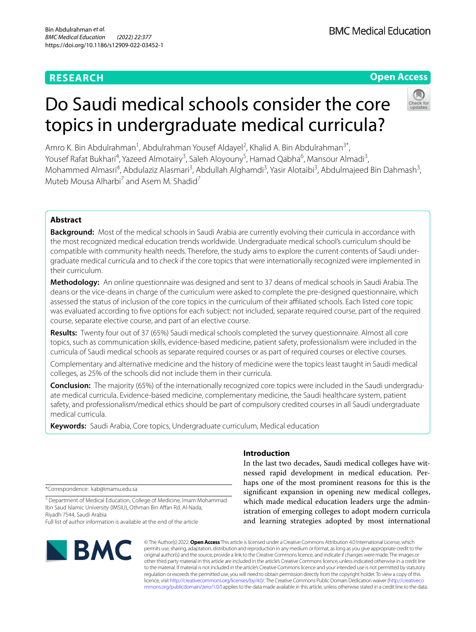# **RESEARCH**

**BMC Medical Education** 

# **Open Access**

# Do Saudi medical schools consider the core topics in undergraduate medical curricula?

Amro K. Bin Abdulrahman<sup>1</sup>, Abdulrahman Yousef Aldayel<sup>2</sup>, Khalid A. Bin Abdulrahman<sup>3\*</sup>, Yousef Rafat Bukhari<sup>4</sup>, Yazeed Almotairy<sup>3</sup>, Saleh Aloyouny<sup>5</sup>, Hamad Qabha<sup>6</sup>, Mansour Almadi<sup>3</sup>, Mohammed Almasri<sup>4</sup>, Abdulaziz Alasmari<sup>3</sup>, Abdullah Alghamdi<sup>3</sup>, Yasir Alotaibi<sup>3</sup>, Abdulmajeed Bin Dahmash<sup>3</sup>, Muteb Mousa Alharbi<sup>7</sup> and Asem M. Shadid<sup>7</sup>

# **Abstract**

**Background:** Most of the medical schools in Saudi Arabia are currently evolving their curricula in accordance with the most recognized medical education trends worldwide. Undergraduate medical school's curriculum should be compatible with community health needs. Therefore, the study aims to explore the current contents of Saudi undergraduate medical curricula and to check if the core topics that were internationally recognized were implemented in their curriculum.

**Methodology:** An online questionnaire was designed and sent to 37 deans of medical schools in Saudi Arabia. The deans or the vice-deans in charge of the curriculum were asked to complete the pre-designed questionnaire, which assessed the status of inclusion of the core topics in the curriculum of their afliated schools. Each listed core topic was evaluated according to fve options for each subject: not included, separate required course, part of the required course, separate elective course, and part of an elective course.

**Results:** Twenty four out of 37 (65%) Saudi medical schools completed the survey questionnaire. Almost all core topics, such as communication skills, evidence-based medicine, patient safety, professionalism were included in the curricula of Saudi medical schools as separate required courses or as part of required courses or elective courses.

Complementary and alternative medicine and the history of medicine were the topics least taught in Saudi medical colleges, as 25% of the schools did not include them in their curricula.

**Conclusion:** The majority (65%) of the internationally recognized core topics were included in the Saudi undergraduate medical curricula. Evidence-based medicine, complementary medicine, the Saudi healthcare system, patient safety, and professionalism/medical ethics should be part of compulsory credited courses in all Saudi undergraduate medical curricula.

**Keywords:** Saudi Arabia, Core topics, Undergraduate curriculum, Medical education

## **Introduction**

In the last two decades, Saudi medical colleges have witnessed rapid development in medical education. Perhaps one of the most prominent reasons for this is the signifcant expansion in opening new medical colleges, which made medical education leaders urge the administration of emerging colleges to adopt modern curricula and learning strategies adopted by most international

\*Correspondence: kab@imamu.edu.sa

<sup>3</sup> Department of Medical Education, College of Medicine, Imam Mohammad Ibn Saud Islamic University (IMSIU), Othman Bin Affan Rd. Al-Nada, Riyadh 7544, Saudi Arabia

Full list of author information is available at the end of the article



© The Author(s) 2022. **Open Access** This article is licensed under a Creative Commons Attribution 4.0 International License, which permits use, sharing, adaptation, distribution and reproduction in any medium or format, as long as you give appropriate credit to the original author(s) and the source, provide a link to the Creative Commons licence, and indicate if changes were made. The images or other third party material in this article are included in the article's Creative Commons licence, unless indicated otherwise in a credit line to the material. If material is not included in the article's Creative Commons licence and your intended use is not permitted by statutory regulation or exceeds the permitted use, you will need to obtain permission directly from the copyright holder. To view a copy of this licence, visit [http://creativecommons.org/licenses/by/4.0/.](http://creativecommons.org/licenses/by/4.0/) The Creative Commons Public Domain Dedication waiver ([http://creativeco](http://creativecommons.org/publicdomain/zero/1.0/) [mmons.org/publicdomain/zero/1.0/](http://creativecommons.org/publicdomain/zero/1.0/)) applies to the data made available in this article, unless otherwise stated in a credit line to the data.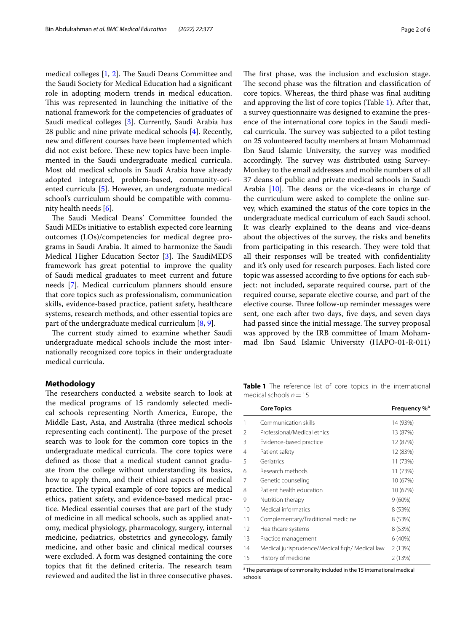medical colleges  $[1, 2]$  $[1, 2]$  $[1, 2]$  $[1, 2]$ . The Saudi Deans Committee and the Saudi Society for Medical Education had a signifcant role in adopting modern trends in medical education. This was represented in launching the initiative of the national framework for the competencies of graduates of Saudi medical colleges [\[3\]](#page-4-2). Currently, Saudi Arabia has 28 public and nine private medical schools [\[4](#page-4-3)]. Recently, new and diferent courses have been implemented which did not exist before. These new topics have been implemented in the Saudi undergraduate medical curricula. Most old medical schools in Saudi Arabia have already adopted integrated, problem-based, community-oriented curricula [\[5](#page-4-4)]. However, an undergraduate medical school's curriculum should be compatible with community health needs [[6\]](#page-4-5).

The Saudi Medical Deans' Committee founded the Saudi MEDs initiative to establish expected core learning outcomes (LOs)/competencies for medical degree programs in Saudi Arabia. It aimed to harmonize the Saudi Medical Higher Education Sector  $[3]$  $[3]$  $[3]$ . The SaudiMEDS framework has great potential to improve the quality of Saudi medical graduates to meet current and future needs [\[7](#page-4-6)]. Medical curriculum planners should ensure that core topics such as professionalism, communication skills, evidence-based practice, patient safety, healthcare systems, research methods, and other essential topics are part of the undergraduate medical curriculum [[8,](#page-4-7) [9](#page-5-0)].

The current study aimed to examine whether Saudi undergraduate medical schools include the most internationally recognized core topics in their undergraduate medical curricula.

#### **Methodology**

The researchers conducted a website search to look at the medical programs of 15 randomly selected medical schools representing North America, Europe, the Middle East, Asia, and Australia (three medical schools representing each continent). The purpose of the preset search was to look for the common core topics in the undergraduate medical curricula. The core topics were defned as those that a medical student cannot graduate from the college without understanding its basics, how to apply them, and their ethical aspects of medical practice. The typical example of core topics are medical ethics, patient safety, and evidence-based medical practice. Medical essential courses that are part of the study of medicine in all medical schools, such as applied anatomy, medical physiology, pharmacology, surgery, internal medicine, pediatrics, obstetrics and gynecology, family medicine, and other basic and clinical medical courses were excluded. A form was designed containing the core topics that fit the defined criteria. The research team reviewed and audited the list in three consecutive phases. The first phase, was the inclusion and exclusion stage. The second phase was the filtration and classification of core topics. Whereas, the third phase was fnal auditing and approving the list of core topics (Table [1\)](#page-1-0). After that, a survey questionnaire was designed to examine the presence of the international core topics in the Saudi medical curricula. The survey was subjected to a pilot testing on 25 volunteered faculty members at Imam Mohammad Ibn Saud Islamic University, the survey was modifed accordingly. The survey was distributed using Survey-Monkey to the email addresses and mobile numbers of all 37 deans of public and private medical schools in Saudi Arabia  $[10]$  $[10]$ . The deans or the vice-deans in charge of the curriculum were asked to complete the online survey, which examined the status of the core topics in the undergraduate medical curriculum of each Saudi school. It was clearly explained to the deans and vice-deans about the objectives of the survey, the risks and benefts from participating in this research. They were told that all their responses will be treated with confdentiality and it's only used for research purposes. Each listed core topic was assessed according to fve options for each subject: not included, separate required course, part of the required course, separate elective course, and part of the elective course. Three follow-up reminder messages were sent, one each after two days, fve days, and seven days had passed since the initial message. The survey proposal was approved by the IRB committee of Imam Mohammad Ibn Saud Islamic University (HAPO-01-R-011)

<span id="page-1-0"></span>**Table 1** The reference list of core topics in the international medical schools *n*=15

|    | <b>Core Topics</b>                              | Frequency % <sup>a</sup> |
|----|-------------------------------------------------|--------------------------|
| 1  | Communication skills                            | 14 (93%)                 |
| 2  | Professional/Medical ethics                     | 13 (87%)                 |
| 3  | Evidence-based practice                         | 12 (87%)                 |
| 4  | Patient safety                                  | 12 (83%)                 |
| 5  | Geriatrics                                      | 11 (73%)                 |
| 6  | Research methods                                | 11 (73%)                 |
| 7  | Genetic counseling                              | 10 (67%)                 |
| 8  | Patient health education                        | 10 (67%)                 |
| 9  | Nutrition therapy                               | $9(60\%)$                |
| 10 | Medical informatics                             | 8 (53%)                  |
| 11 | Complementary/Traditional medicine              | 8 (53%)                  |
| 12 | Healthcare systems                              | 8 (53%)                  |
| 13 | Practice management                             | 6(40%)                   |
| 14 | Medical jurisprudence/Medical figh/ Medical law | 2(13%)                   |
| 15 | History of medicine                             | 2(13%)                   |

<sup>a</sup> The percentage of commonality included in the 15 international medical schools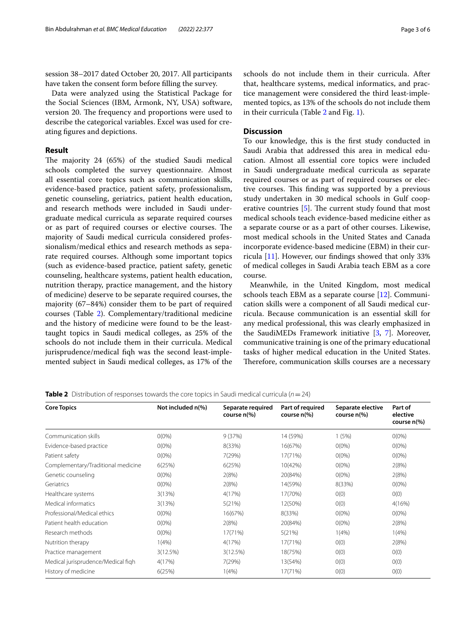session 38–2017 dated October 20, 2017. All participants have taken the consent form before flling the survey.

Data were analyzed using the Statistical Package for the Social Sciences (IBM, Armonk, NY, USA) software, version 20. The frequency and proportions were used to describe the categorical variables. Excel was used for creating fgures and depictions.

#### **Result**

The majority 24 (65%) of the studied Saudi medical schools completed the survey questionnaire. Almost all essential core topics such as communication skills, evidence-based practice, patient safety, professionalism, genetic counseling, geriatrics, patient health education, and research methods were included in Saudi undergraduate medical curricula as separate required courses or as part of required courses or elective courses. The majority of Saudi medical curricula considered professionalism/medical ethics and research methods as separate required courses. Although some important topics (such as evidence-based practice, patient safety, genetic counseling, healthcare systems, patient health education, nutrition therapy, practice management, and the history of medicine) deserve to be separate required courses, the majority (67–84%) consider them to be part of required courses (Table [2](#page-2-0)). Complementary/traditional medicine and the history of medicine were found to be the leasttaught topics in Saudi medical colleges, as 25% of the schools do not include them in their curricula. Medical jurisprudence/medical fiqh was the second least-implemented subject in Saudi medical colleges, as 17% of the schools do not include them in their curricula. After that, healthcare systems, medical informatics, and practice management were considered the third least-implemented topics, as 13% of the schools do not include them in their curricula (Table [2](#page-2-0) and Fig. [1\)](#page-3-0).

### **Discussion**

To our knowledge, this is the frst study conducted in Saudi Arabia that addressed this area in medical education. Almost all essential core topics were included in Saudi undergraduate medical curricula as separate required courses or as part of required courses or elective courses. This finding was supported by a previous study undertaken in 30 medical schools in Gulf cooperative countries  $[5]$  $[5]$ . The current study found that most medical schools teach evidence-based medicine either as a separate course or as a part of other courses. Likewise, most medical schools in the United States and Canada incorporate evidence-based medicine (EBM) in their curricula [\[11](#page-5-2)]. However, our fndings showed that only 33% of medical colleges in Saudi Arabia teach EBM as a core course.

Meanwhile, in the United Kingdom, most medical schools teach EBM as a separate course [\[12\]](#page-5-3). Communication skills were a component of all Saudi medical curricula. Because communication is an essential skill for any medical professional, this was clearly emphasized in the SaudiMEDs Framework initiative [\[3](#page-4-2), [7\]](#page-4-6). Moreover, communicative training is one of the primary educational tasks of higher medical education in the United States. Therefore, communication skills courses are a necessary

| <b>Core Topics</b>                 | Not included n(%) | Separate required<br>course $n$ (%) | Part of required<br>course n(%) | Separate elective<br>course $n$ (%) | Part of<br>elective<br>course $n$ <sup>(%)</sup> |
|------------------------------------|-------------------|-------------------------------------|---------------------------------|-------------------------------------|--------------------------------------------------|
| Communication skills               | $0(0\%)$          | 9(37%)                              | 14 (59%)                        | 1(5%)                               | $O(0\%)$                                         |
| Evidence-based practice            | $0(0\%)$          | 8(33%)                              | 16(67%)                         | $0(0\%)$                            | $O(0\%)$                                         |
| Patient safety                     | $O(0\%)$          | 7(29%)                              | 17(71%)                         | $O(0\%)$                            | $O(0\%)$                                         |
| Complementary/Traditional medicine | 6(25%)            | 6(25%)                              | 10(42%)                         | $O(0\%)$                            | 2(8%)                                            |
| Genetic counseling                 | $O(0\%)$          | 2(8%)                               | 20(84%)                         | $O(0\%)$                            | 2(8%)                                            |
| Geriatrics                         | $O(0\%)$          | 2(8%)                               | 14(59%)                         | 8(33%)                              | $0(0\%)$                                         |
| Healthcare systems                 | 3(13%)            | 4(17%)                              | 17(70%)                         | O(0)                                | O(0)                                             |
| Medical informatics                | 3(13%)            | 5(21%)                              | 12(50%)                         | O(0)                                | 4(16%)                                           |
| Professional/Medical ethics        | $0(0\%)$          | 16(67%)                             | 8(33%)                          | $O(0\%)$                            | $O(0\%)$                                         |
| Patient health education           | $0(0\%)$          | 2(8%)                               | 20(84%)                         | $O(0\%)$                            | 2(8%)                                            |
| Research methods                   | $O(0\%)$          | 17(71%)                             | 5(21%)                          | 1(4% )                              | 1(4% )                                           |
| Nutrition therapy                  | 1(4% )            | 4(17%)                              | 17(71%)                         | O(0)                                | 2(8%)                                            |
| Practice management                | 3(12.5%)          | 3(12.5%)                            | 18(75%)                         | 0(0)                                | O(0)                                             |
| Medical jurisprudence/Medical figh | 4(17%)            | 7(29%)                              | 13(54%)                         | 0(0)                                | O(0)                                             |
| History of medicine                | 6(25%)            | 1(4% )                              | 17(71%)                         | O(0)                                | O(0)                                             |
|                                    |                   |                                     |                                 |                                     |                                                  |

<span id="page-2-0"></span>**Table 2** Distribution of responses towards the core topics in Saudi medical curricula  $(n=24)$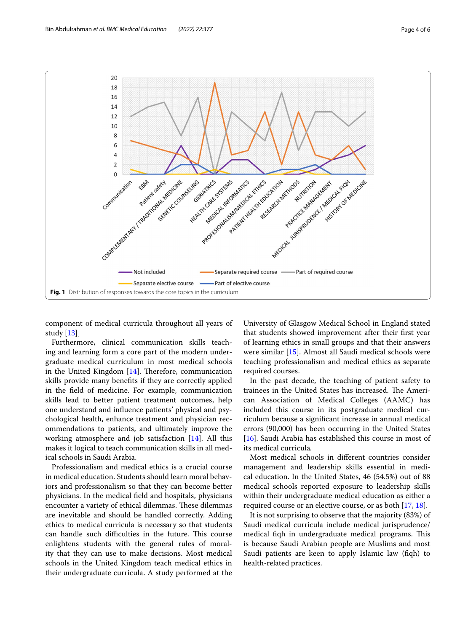

<span id="page-3-0"></span>component of medical curricula throughout all years of study [\[13](#page-5-4)].

Furthermore, clinical communication skills teaching and learning form a core part of the modern undergraduate medical curriculum in most medical schools in the United Kingdom  $[14]$  $[14]$  $[14]$ . Therefore, communication skills provide many benefts if they are correctly applied in the feld of medicine. For example, communication skills lead to better patient treatment outcomes, help one understand and infuence patients' physical and psychological health, enhance treatment and physician recommendations to patients, and ultimately improve the working atmosphere and job satisfaction [[14\]](#page-5-5). All this makes it logical to teach communication skills in all medical schools in Saudi Arabia.

Professionalism and medical ethics is a crucial course in medical education. Students should learn moral behaviors and professionalism so that they can become better physicians. In the medical feld and hospitals, physicians encounter a variety of ethical dilemmas. These dilemmas are inevitable and should be handled correctly. Adding ethics to medical curricula is necessary so that students can handle such difficulties in the future. This course enlightens students with the general rules of morality that they can use to make decisions. Most medical schools in the United Kingdom teach medical ethics in their undergraduate curricula. A study performed at the

University of Glasgow Medical School in England stated that students showed improvement after their frst year of learning ethics in small groups and that their answers were similar [\[15](#page-5-6)]. Almost all Saudi medical schools were teaching professionalism and medical ethics as separate required courses.

In the past decade, the teaching of patient safety to trainees in the United States has increased. The American Association of Medical Colleges (AAMC) has included this course in its postgraduate medical curriculum because a signifcant increase in annual medical errors (90,000) has been occurring in the United States [[16\]](#page-5-7). Saudi Arabia has established this course in most of its medical curricula*.*

Most medical schools in diferent countries consider management and leadership skills essential in medical education. In the United States, 46 (54.5%) out of 88 medical schools reported exposure to leadership skills within their undergraduate medical education as either a required course or an elective course, or as both [[17,](#page-5-8) [18\]](#page-5-9).

It is not surprising to observe that the majority (83%) of Saudi medical curricula include medical jurisprudence/ medical fiqh in undergraduate medical programs. This is because Saudi Arabian people are Muslims and most Saudi patients are keen to apply Islamic law (fqh) to health-related practices.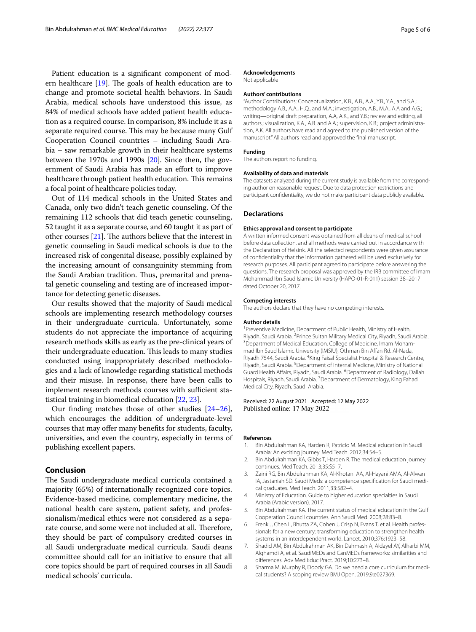Patient education is a significant component of modern healthcare  $[19]$ . The goals of health education are to change and promote societal health behaviors. In Saudi Arabia, medical schools have understood this issue, as 84% of medical schools have added patient health education as a required course. In comparison, 8% include it as a separate required course. This may be because many Gulf Cooperation Council countries – including Saudi Arabia – saw remarkable growth in their healthcare systems between the 1970s and 1990s [\[20](#page-5-11)]. Since then, the government of Saudi Arabia has made an efort to improve healthcare through patient health education. This remains a focal point of healthcare policies today.

Out of 114 medical schools in the United States and Canada, only two didn't teach genetic counseling. Of the remaining 112 schools that did teach genetic counseling, 52 taught it as a separate course, and 60 taught it as part of other courses  $[21]$  $[21]$ . The authors believe that the interest in genetic counseling in Saudi medical schools is due to the increased risk of congenital disease, possibly explained by the increasing amount of consanguinity stemming from the Saudi Arabian tradition. Thus, premarital and prenatal genetic counseling and testing are of increased importance for detecting genetic diseases.

Our results showed that the majority of Saudi medical schools are implementing research methodology courses in their undergraduate curricula. Unfortunately, some students do not appreciate the importance of acquiring research methods skills as early as the pre-clinical years of their undergraduate education. This leads to many studies conducted using inappropriately described methodologies and a lack of knowledge regarding statistical methods and their misuse. In response, there have been calls to implement research methods courses with sufficient statistical training in biomedical education [[22](#page-5-13), [23\]](#page-5-14).

Our fnding matches those of other studies [[24](#page-5-15)[–26](#page-5-16)], which encourages the addition of undergraduate-level courses that may ofer many benefts for students, faculty, universities, and even the country, especially in terms of publishing excellent papers.

#### **Conclusion**

The Saudi undergraduate medical curricula contained a majority (65%) of internationally recognized core topics. Evidence-based medicine, complementary medicine, the national health care system, patient safety, and professionalism/medical ethics were not considered as a separate course, and some were not included at all. Therefore, they should be part of compulsory credited courses in all Saudi undergraduate medical curricula. Saudi deans committee should call for an initiative to ensure that all core topics should be part of required courses in all Saudi medical schools' curricula.

#### **Acknowledgements**

Not applicable

#### **Authors' contributions**

"Author Contributions: Conceptualization, K.B., A.B., A.A., Y.B., Y.A., and S.A.; methodology A.B., A.A., H.Q., and M.A.; investigation, A.B., M.A., A.A and A.G.; writing—original draft preparation, A.A, A.K., and Y.B.; review and editing, all authors.; visualization, K.A., A.B. and A.A.; supervision, K.B.; project administration, A.K. All authors have read and agreed to the published version of the manuscript." All authors read and approved the fnal manuscript.

#### **Funding**

The authors report no funding.

#### **Availability of data and materials**

The datasets analyzed during the current study is available from the corresponding author on reasonable request. Due to data protection restrictions and participant confdentiality, we do not make participant data publicly available.

#### **Declarations**

#### **Ethics approval and consent to participate**

A written informed consent was obtained from all deans of medical school before data collection, and all methods were carried out in accordance with the Declaration of Helsink. All the selected respondents were given assurance of confdentiality that the information gathered will be used exclusively for research purposes. All participant agreed to participate before answering the questions. The research proposal was approved by the IRB committee of Imam Mohammad Ibn Saud Islamic University (HAPO-01-R-011) session 38–2017 dated October 20, 2017.

#### **Competing interests**

The authors declare that they have no competing interests.

#### **Author details**

<sup>1</sup> Preventive Medicine, Department of Public Health, Ministry of Health, Riyadh, Saudi Arabia. <sup>2</sup>Prince Sultan Military Medical City, Riyadh, Saudi Arabia.<br><sup>3</sup>Department of Medical Education, College of Medicine, Imam Meham. <sup>3</sup> Department of Medical Education, College of Medicine, Imam Mohammad Ibn Saud Islamic University (IMSIU), Othman Bin Affan Rd. Al-Nada, Riyadh 7544, Saudi Arabia. <sup>4</sup> King Faisal Specialist Hospital & Research Centre, Riyadh, Saudi Arabia. <sup>5</sup> Department of Internal Medicne, Ministry of National Guard Health Affairs, Riyadh, Saudi Arabia. <sup>6</sup>Department of Radiology, Dallah Hospitals, Riyadh, Saudi Arabia. <sup>7</sup> Department of Dermatology, King Fahad Medical City, Riyadh, Saudi Arabia.

#### Received: 22 August 2021 Accepted: 12 May 2022 Published online: 17 May 2022

#### **References**

- <span id="page-4-0"></span>1. Bin Abdulrahman KA, Harden R, Patrício M. Medical education in Saudi Arabia: An exciting journey. Med Teach. 2012;34:S4–5.
- <span id="page-4-1"></span>2. Bin Abdulrahman KA, Gibbs T, Harden R. The medical education journey continues. Med Teach. 2013;35:S5–7.
- <span id="page-4-2"></span>3. Zaini RG, Bin Abdulrahman KA, Al-Khotani AA, Al-Hayani AMA, Al-Alwan IA, Jastaniah SD. Saudi Meds: a competence specifcation for Saudi medical graduates. Med Teach. 2011;33:582–4.
- <span id="page-4-3"></span>4. Ministry of Education. Guide to higher education specialties in Saudi Arabia (Arabic version). 2017.
- <span id="page-4-4"></span>5. Bin Abdulrahman KA. The current status of medical education in the Gulf Cooperation Council countries. Ann Saudi Med. 2008;28:83–8.
- <span id="page-4-5"></span>6. Frenk J, Chen L, Bhutta ZA, Cohen J, Crisp N, Evans T, et al. Health professionals for a new century: transforming education to strengthen health systems in an interdependent world. Lancet. 2010;376:1923–58.
- <span id="page-4-6"></span>7. Shadid AM, Bin Abdulrahman AK, Bin Dahmash A, Aldayel AY, Alharbi MM, Alghamdi A, et al. SaudiMEDs and CanMEDs frameworks: similarities and diferences. Adv Med Educ Pract. 2019;10:273–8.
- <span id="page-4-7"></span>8. Sharma M, Murphy R, Doody GA. Do we need a core curriculum for medical students? A scoping review BMJ Open. 2019;9:e027369.